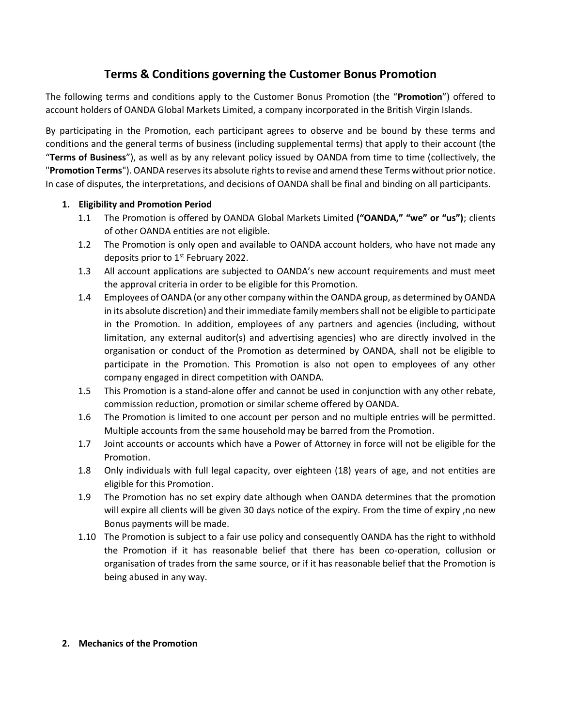## **Terms & Conditions governing the Customer Bonus Promotion**

The following terms and conditions apply to the Customer Bonus Promotion (the "**Promotion**") offered to account holders of OANDA Global Markets Limited, a company incorporated in the British Virgin Islands.

By participating in the Promotion, each participant agrees to observe and be bound by these terms and conditions and the general terms of business (including supplemental terms) that apply to their account (the "**Terms of Business**"), as well as by any relevant policy issued by OANDA from time to time (collectively, the "**Promotion Terms**"). OANDA reserves its absolute rights to revise and amend these Terms without prior notice. In case of disputes, the interpretations, and decisions of OANDA shall be final and binding on all participants.

## **1. Eligibility and Promotion Period**

- 1.1 The Promotion is offered by OANDA Global Markets Limited **("OANDA," "we" or "us")**; clients of other OANDA entities are not eligible.
- 1.2 The Promotion is only open and available to OANDA account holders, who have not made any deposits prior to 1<sup>st</sup> February 2022.
- 1.3 All account applications are subjected to OANDA's new account requirements and must meet the approval criteria in order to be eligible for this Promotion.
- 1.4 Employees of OANDA (or any other company within the OANDA group, as determined by OANDA in its absolute discretion) and their immediate family members shall not be eligible to participate in the Promotion. In addition, employees of any partners and agencies (including, without limitation, any external auditor(s) and advertising agencies) who are directly involved in the organisation or conduct of the Promotion as determined by OANDA, shall not be eligible to participate in the Promotion. This Promotion is also not open to employees of any other company engaged in direct competition with OANDA.
- 1.5 This Promotion is a stand-alone offer and cannot be used in conjunction with any other rebate, commission reduction, promotion or similar scheme offered by OANDA.
- 1.6 The Promotion is limited to one account per person and no multiple entries will be permitted. Multiple accounts from the same household may be barred from the Promotion.
- 1.7 Joint accounts or accounts which have a Power of Attorney in force will not be eligible for the Promotion.
- 1.8 Only individuals with full legal capacity, over eighteen (18) years of age, and not entities are eligible for this Promotion.
- 1.9 The Promotion has no set expiry date although when OANDA determines that the promotion will expire all clients will be given 30 days notice of the expiry. From the time of expiry ,no new Bonus payments will be made.
- 1.10 The Promotion is subject to a fair use policy and consequently OANDA has the right to withhold the Promotion if it has reasonable belief that there has been co-operation, collusion or organisation of trades from the same source, or if it has reasonable belief that the Promotion is being abused in any way.

## **2. Mechanics of the Promotion**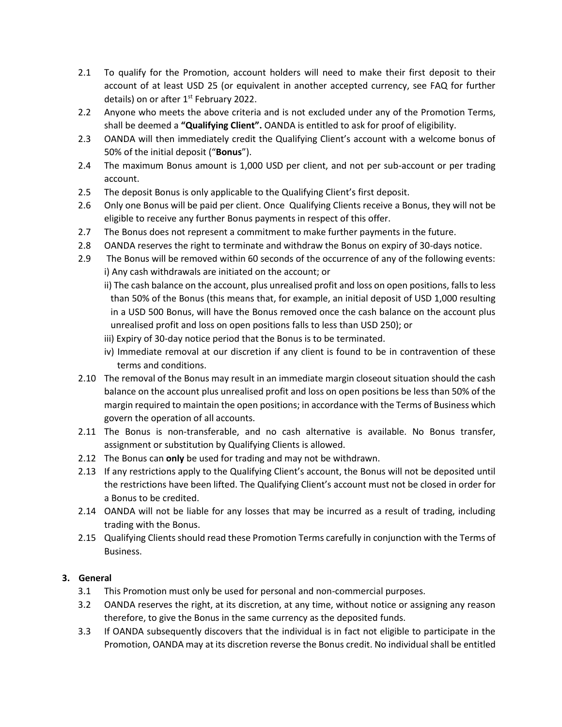- 2.1 To qualify for the Promotion, account holders will need to make their first deposit to their account of at least USD 25 (or equivalent in another accepted currency, see FAQ for further details) on or after 1<sup>st</sup> February 2022.
- 2.2 Anyone who meets the above criteria and is not excluded under any of the Promotion Terms, shall be deemed a **"Qualifying Client".** OANDA is entitled to ask for proof of eligibility.
- 2.3 OANDA will then immediately credit the Qualifying Client's account with a welcome bonus of 50% of the initial deposit ("**Bonus**").
- 2.4 The maximum Bonus amount is 1,000 USD per client, and not per sub-account or per trading account.
- 2.5 The deposit Bonus is only applicable to the Qualifying Client's first deposit.
- 2.6 Only one Bonus will be paid per client. Once Qualifying Clients receive a Bonus, they will not be eligible to receive any further Bonus payments in respect of this offer.
- 2.7 The Bonus does not represent a commitment to make further payments in the future.
- 2.8 OANDA reserves the right to terminate and withdraw the Bonus on expiry of 30-days notice.
- 2.9 The Bonus will be removed within 60 seconds of the occurrence of any of the following events: i) Any cash withdrawals are initiated on the account; or
	- ii) The cash balance on the account, plus unrealised profit and loss on open positions, falls to less than 50% of the Bonus (this means that, for example, an initial deposit of USD 1,000 resulting in a USD 500 Bonus, will have the Bonus removed once the cash balance on the account plus unrealised profit and loss on open positions falls to less than USD 250); or
	- iii) Expiry of 30-day notice period that the Bonus is to be terminated.
	- iv) Immediate removal at our discretion if any client is found to be in contravention of these terms and conditions.
- 2.10 The removal of the Bonus may result in an immediate margin closeout situation should the cash balance on the account plus unrealised profit and loss on open positions be less than 50% of the margin required to maintain the open positions; in accordance with the Terms of Business which govern the operation of all accounts.
- 2.11 The Bonus is non-transferable, and no cash alternative is available. No Bonus transfer, assignment or substitution by Qualifying Clients is allowed.
- 2.12 The Bonus can **only** be used for trading and may not be withdrawn.
- 2.13 If any restrictions apply to the Qualifying Client's account, the Bonus will not be deposited until the restrictions have been lifted. The Qualifying Client's account must not be closed in order for a Bonus to be credited.
- 2.14 OANDA will not be liable for any losses that may be incurred as a result of trading, including trading with the Bonus.
- 2.15 Qualifying Clients should read these Promotion Terms carefully in conjunction with the Terms of Business.

## **3. General**

- 3.1 This Promotion must only be used for personal and non-commercial purposes.
- 3.2 OANDA reserves the right, at its discretion, at any time, without notice or assigning any reason therefore, to give the Bonus in the same currency as the deposited funds.
- 3.3 If OANDA subsequently discovers that the individual is in fact not eligible to participate in the Promotion, OANDA may at its discretion reverse the Bonus credit. No individual shall be entitled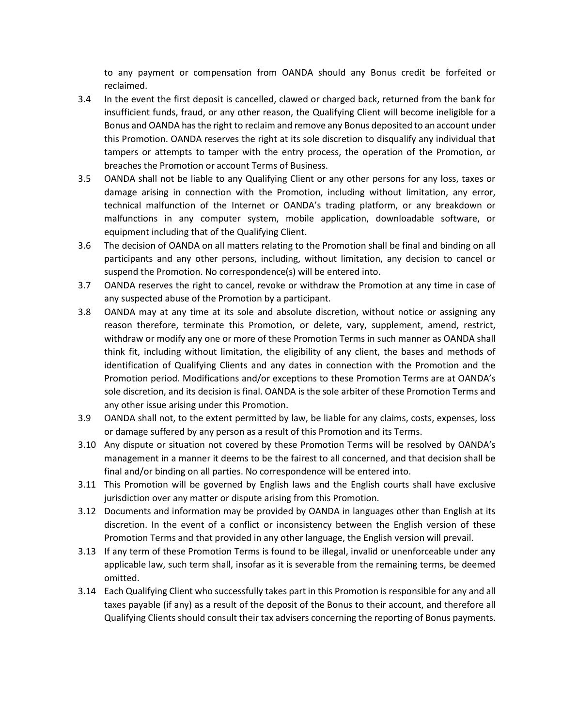to any payment or compensation from OANDA should any Bonus credit be forfeited or reclaimed.

- 3.4 In the event the first deposit is cancelled, clawed or charged back, returned from the bank for insufficient funds, fraud, or any other reason, the Qualifying Client will become ineligible for a Bonus and OANDA has the right to reclaim and remove any Bonus deposited to an account under this Promotion. OANDA reserves the right at its sole discretion to disqualify any individual that tampers or attempts to tamper with the entry process, the operation of the Promotion, or breaches the Promotion or account Terms of Business.
- 3.5 OANDA shall not be liable to any Qualifying Client or any other persons for any loss, taxes or damage arising in connection with the Promotion, including without limitation, any error, technical malfunction of the Internet or OANDA's trading platform, or any breakdown or malfunctions in any computer system, mobile application, downloadable software, or equipment including that of the Qualifying Client.
- 3.6 The decision of OANDA on all matters relating to the Promotion shall be final and binding on all participants and any other persons, including, without limitation, any decision to cancel or suspend the Promotion. No correspondence(s) will be entered into.
- 3.7 OANDA reserves the right to cancel, revoke or withdraw the Promotion at any time in case of any suspected abuse of the Promotion by a participant.
- 3.8 OANDA may at any time at its sole and absolute discretion, without notice or assigning any reason therefore, terminate this Promotion, or delete, vary, supplement, amend, restrict, withdraw or modify any one or more of these Promotion Terms in such manner as OANDA shall think fit, including without limitation, the eligibility of any client, the bases and methods of identification of Qualifying Clients and any dates in connection with the Promotion and the Promotion period. Modifications and/or exceptions to these Promotion Terms are at OANDA's sole discretion, and its decision is final. OANDA is the sole arbiter of these Promotion Terms and any other issue arising under this Promotion.
- 3.9 OANDA shall not, to the extent permitted by law, be liable for any claims, costs, expenses, loss or damage suffered by any person as a result of this Promotion and its Terms.
- 3.10 Any dispute or situation not covered by these Promotion Terms will be resolved by OANDA's management in a manner it deems to be the fairest to all concerned, and that decision shall be final and/or binding on all parties. No correspondence will be entered into.
- 3.11 This Promotion will be governed by English laws and the English courts shall have exclusive jurisdiction over any matter or dispute arising from this Promotion.
- 3.12 Documents and information may be provided by OANDA in languages other than English at its discretion. In the event of a conflict or inconsistency between the English version of these Promotion Terms and that provided in any other language, the English version will prevail.
- 3.13 If any term of these Promotion Terms is found to be illegal, invalid or unenforceable under any applicable law, such term shall, insofar as it is severable from the remaining terms, be deemed omitted.
- 3.14 Each Qualifying Client who successfully takes part in this Promotion is responsible for any and all taxes payable (if any) as a result of the deposit of the Bonus to their account, and therefore all Qualifying Clients should consult their tax advisers concerning the reporting of Bonus payments.